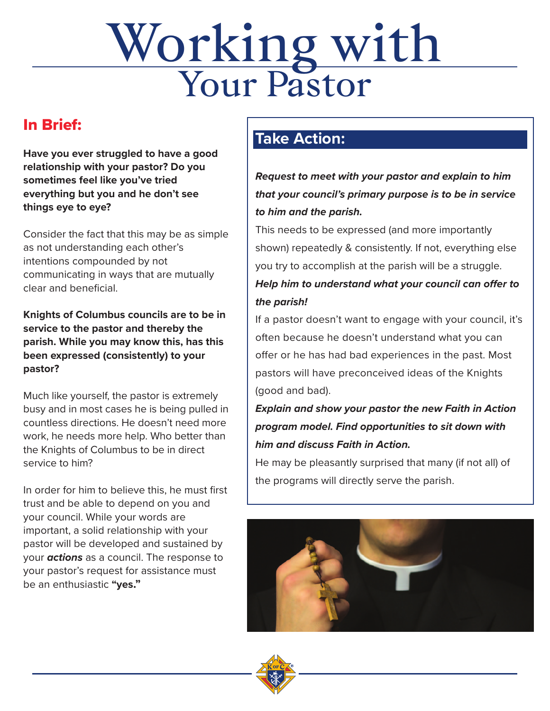# Working with Your Pastor Pastor Pastor Pastor Pastor Pastor Pastor Pastor Pastor Pastor Pastor Pastor Pastor Pastor Pastor<br>Maria Pastor Pastor Pastor Pastor Pastor Pastor Pastor Pastor Pastor Pastor Pastor Pastor Pastor Pastor Pasto<br>Ma

#### In Brief:

**Have you ever struggled to have a good relationship with your pastor? Do you sometimes feel like you've tried everything but you and he don't see things eye to eye?**

Consider the fact that this may be as simple as not understanding each other's intentions compounded by not communicating in ways that are mutually clear and beneficial.

**Knights of Columbus councils are to be in service to the pastor and thereby the parish. While you may know this, has this been expressed (consistently) to your pastor?**

Much like yourself, the pastor is extremely busy and in most cases he is being pulled in countless directions. He doesn't need more work, he needs more help. Who better than the Knights of Columbus to be in direct service to him?

In order for him to believe this, he must first trust and be able to depend on you and your council. While your words are important, a solid relationship with your pastor will be developed and sustained by your **actions** as a council. The response to your pastor's request for assistance must be an enthusiastic **"yes."**

#### **Take Action:**

**Request to meet with your pastor and explain to him that your council's primary purpose is to be in service to him and the parish.**

This needs to be expressed (and more importantly shown) repeatedly & consistently. If not, everything else you try to accomplish at the parish will be a struggle. **Help him to understand what your council can offer to the parish!**

If a pastor doesn't want to engage with your council, it's often because he doesn't understand what you can offer or he has had bad experiences in the past. Most pastors will have preconceived ideas of the Knights (good and bad).

#### **Explain and show your pastor the new Faith in Action program model. Find opportunities to sit down with him and discuss Faith in Action.**

He may be pleasantly surprised that many (if not all) of the programs will directly serve the parish.



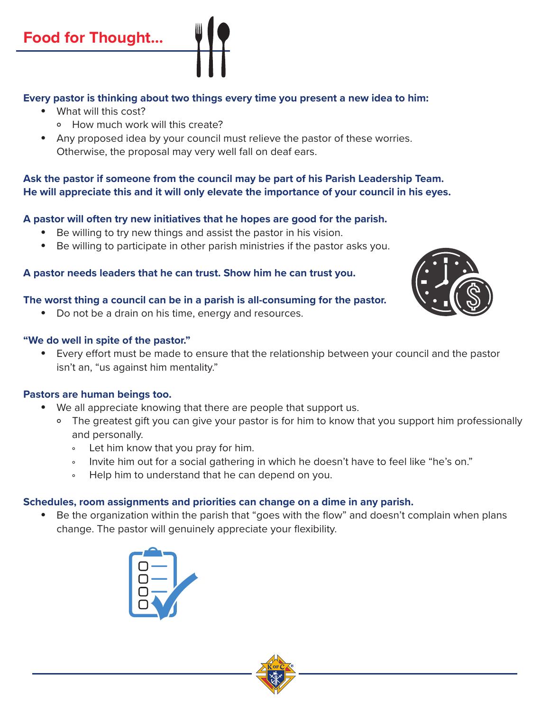#### **Every pastor is thinking about two things every time you present a new idea to him:**

- What will this cost?
	- ° How much work will this create?
- Any proposed idea by your council must relieve the pastor of these worries. Otherwise, the proposal may very well fall on deaf ears.

#### **Ask the pastor if someone from the council may be part of his Parish Leadership Team. He will appreciate this and it will only elevate the importance of your council in his eyes.**

#### **A pastor will often try new initiatives that he hopes are good for the parish.**

- Be willing to try new things and assist the pastor in his vision.
- Be willing to participate in other parish ministries if the pastor asks you.

#### **A pastor needs leaders that he can trust. Show him he can trust you.**

#### **The worst thing a council can be in a parish is all-consuming for the pastor.**

• Do not be a drain on his time, energy and resources.

#### **"We do well in spite of the pastor."**

 • Every effort must be made to ensure that the relationship between your council and the pastor isn't an, "us against him mentality."

#### **Pastors are human beings too.**

- We all appreciate knowing that there are people that support us.
	- ° The greatest gift you can give your pastor is for him to know that you support him professionally and personally.
		- ° Let him know that you pray for him.
		- ° Invite him out for a social gathering in which he doesn't have to feel like "he's on."
		- ° Help him to understand that he can depend on you.

#### **Schedules, room assignments and priorities can change on a dime in any parish.**

 • Be the organization within the parish that "goes with the flow" and doesn't complain when plans change. The pastor will genuinely appreciate your flexibility.





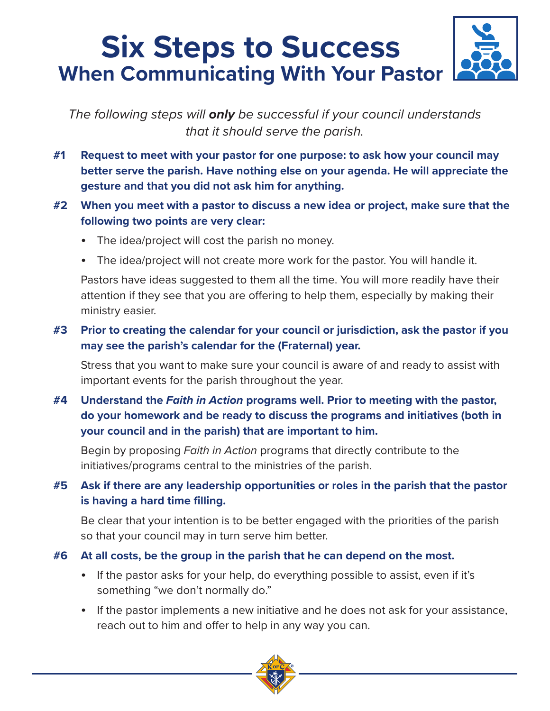### **Six Steps to Success When Communicating With Your Pastor**

The following steps will **only** be successful if your council understands that it should serve the parish.

- **#1 Request to meet with your pastor for one purpose: to ask how your council may better serve the parish. Have nothing else on your agenda. He will appreciate the gesture and that you did not ask him for anything.**
- **#2 When you meet with a pastor to discuss a new idea or project, make sure that the following two points are very clear:**
	- The idea/project will cost the parish no money.
	- The idea/project will not create more work for the pastor. You will handle it.

 Pastors have ideas suggested to them all the time. You will more readily have their attention if they see that you are offering to help them, especially by making their ministry easier.

#### **#3 Prior to creating the calendar for your council or jurisdiction, ask the pastor if you may see the parish's calendar for the (Fraternal) year.**

 Stress that you want to make sure your council is aware of and ready to assist with important events for the parish throughout the year.

#### **#4 Understand the Faith in Action programs well. Prior to meeting with the pastor, do your homework and be ready to discuss the programs and initiatives (both in your council and in the parish) that are important to him.**

 Begin by proposing Faith in Action programs that directly contribute to the initiatives/programs central to the ministries of the parish.

#### **#5 Ask if there are any leadership opportunities or roles in the parish that the pastor is having a hard time filling.**

 Be clear that your intention is to be better engaged with the priorities of the parish so that your council may in turn serve him better.

#### **#6 At all costs, be the group in the parish that he can depend on the most.**

- If the pastor asks for your help, do everything possible to assist, even if it's something "we don't normally do."
- If the pastor implements a new initiative and he does not ask for your assistance, reach out to him and offer to help in any way you can.